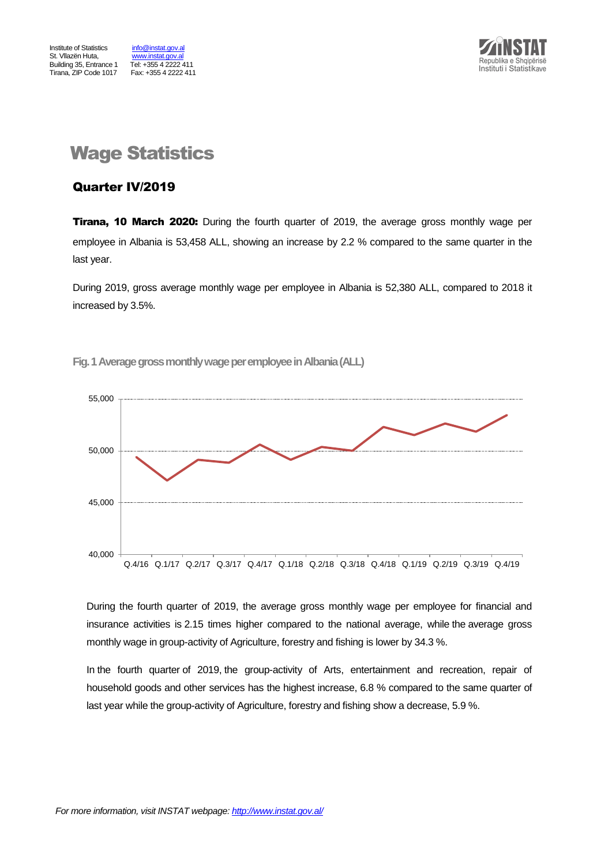

## Wage Statistics

#### Quarter IV/2019

**Tirana, 10 March 2020:** During the fourth quarter of 2019, the average gross monthly wage per employee in Albania is 53,458 ALL, showing an increase by 2.2 % compared to the same quarter in the last year.

During 2019, gross average monthly wage per employee in Albania is 52,380 ALL, compared to 2018 it increased by 3.5%.

**Fig.1Average gross monthly wage per employeein Albania(ALL)**



During the fourth quarter of 2019, the average gross monthly wage per employee for financial and insurance activities is 2.15 times higher compared to the national average, while the average gross monthly wage in group-activity of Agriculture, forestry and fishing is lower by 34.3 %.

In the fourth quarter of 2019, the group-activity of Arts, entertainment and recreation, repair of household goods and other services has the highest increase, 6.8 % compared to the same quarter of last year while the group-activity of Agriculture, forestry and fishing show a decrease, 5.9 %.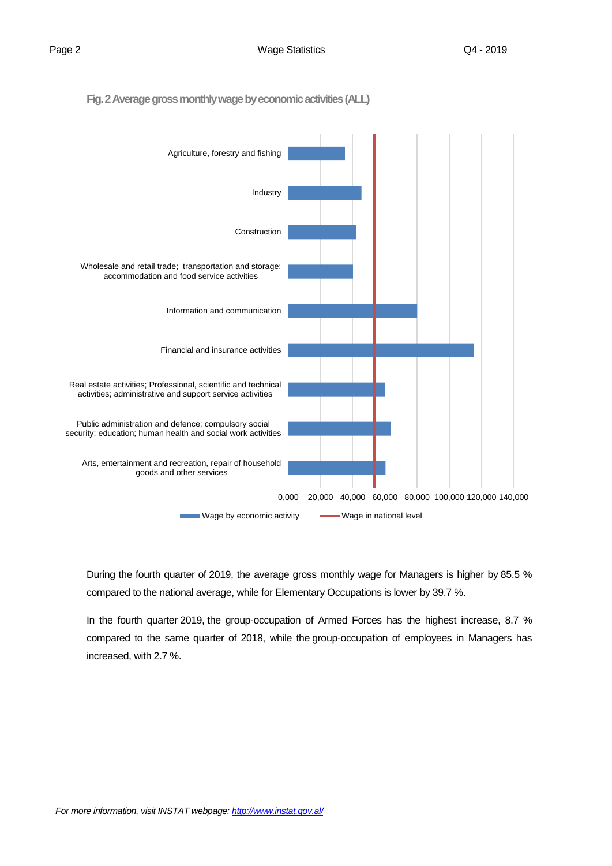**Fig. 2 Average gross monthly wage by economic activities(ALL)**



During the fourth quarter of 2019, the average gross monthly wage for Managers is higher by 85.5 % compared to the national average, while for Elementary Occupations is lower by 39.7 %.

In the fourth quarter 2019, the group-occupation of Armed Forces has the highest increase, 8.7 % compared to the same quarter of 2018, while the group-occupation of employees in Managers has increased, with 2.7 %.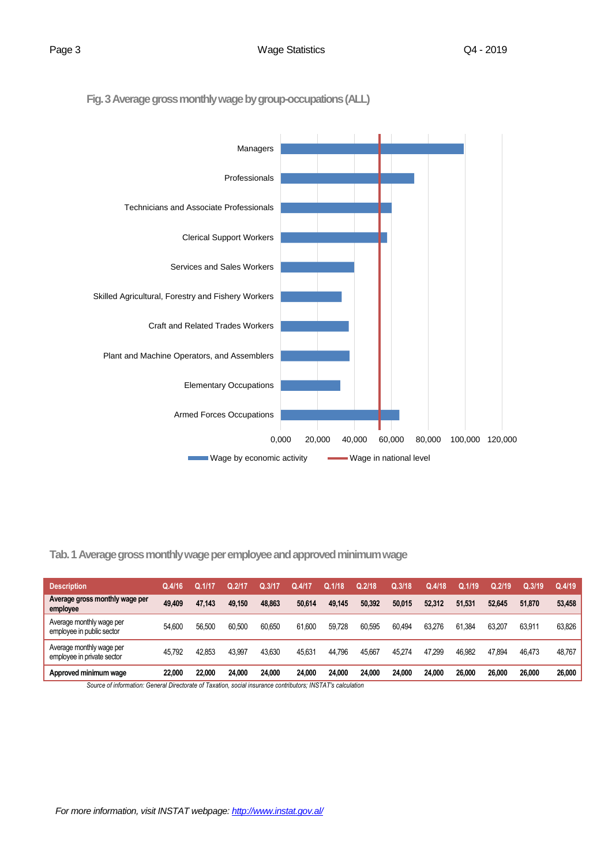**Fig. 3Average gross monthly wage by group-occupations(ALL)**



**Tab. 1 Average gross monthly wage per employee and approved minimum wage** 

| <b>Description</b>                                     | Q.4/16 |        | Q.2/17 | Q.3/17 | Q.4/17 | Q.1/18 | Q.2/18 | Q.3/18 | Q.4/18 | Q.1/19 | Q.2/19 | Q.3/19 | Q.4/19 |
|--------------------------------------------------------|--------|--------|--------|--------|--------|--------|--------|--------|--------|--------|--------|--------|--------|
| Average gross monthly wage per<br>employee             | 49,409 | 47.143 | 49.150 | 48.863 | 50.614 | 49.145 | 50.392 | 50.015 | 52.312 | 51.531 | 52.645 | 51.870 | 53,458 |
| Average monthly wage per<br>employee in public sector  | 54.600 | 56.500 | 60.500 | 60.650 | 61.600 | 59,728 | 60.595 | 60.494 | 63.276 | 61.384 | 63.207 | 63.911 | 63.826 |
| Average monthly wage per<br>employee in private sector | 45.792 | 42.853 | 43.997 | 43.630 | 45.631 | 44.796 | 45.667 | 45.274 | 47.299 | 46.982 | 47.894 | 46.473 | 48.767 |
| Approved minimum wage                                  | 22.000 | 22.000 | 24.000 | 24.000 | 24.000 | 24.000 | 24.000 | 24.000 | 24.000 | 26,000 | 26,000 | 26.000 | 26,000 |

*Source of information: General Directorate of Taxation, social insurance contributors; INSTAT's calculation*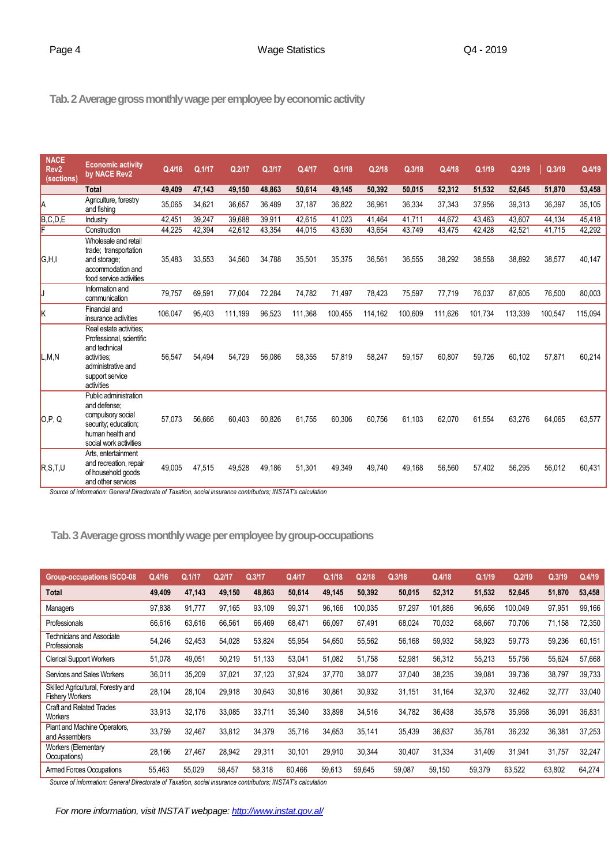**Tab.2 Average gross monthly wage per employee by economic activity**

| <b>NACE</b><br>Rev <sub>2</sub><br>(sections) | <b>Economic activity</b><br>by NACE Rev2                                                                                                   | Q.4/16  | Q.1/17 | Q.2/17  | Q.3/17 | Q.4/17  | Q.1/18  | Q.2/18  | Q.3/18  | Q.4/18  | Q.1/19  | Q.2/19  | Q.3/19  | Q.4/19  |
|-----------------------------------------------|--------------------------------------------------------------------------------------------------------------------------------------------|---------|--------|---------|--------|---------|---------|---------|---------|---------|---------|---------|---------|---------|
|                                               | <b>Total</b>                                                                                                                               | 49,409  | 47,143 | 49,150  | 48,863 | 50,614  | 49,145  | 50,392  | 50,015  | 52,312  | 51,532  | 52,645  | 51,870  | 53,458  |
| A                                             | Agriculture, forestry<br>and fishing                                                                                                       | 35,065  | 34,621 | 36,657  | 36,489 | 37,187  | 36,822  | 36,961  | 36,334  | 37,343  | 37,956  | 39,313  | 36,397  | 35,105  |
| B,C,D,E<br>F                                  | Industry                                                                                                                                   | 42,451  | 39,247 | 39,688  | 39,911 | 42,615  | 41,023  | 41,464  | 41,711  | 44,672  | 43,463  | 43,607  | 44,134  | 45,418  |
|                                               | Construction                                                                                                                               | 44,225  | 42,394 | 42,612  | 43,354 | 44,015  | 43,630  | 43,654  | 43,749  | 43,475  | 42,428  | 42,521  | 41,715  | 42,292  |
| G.H.I                                         | Wholesale and retail<br>trade; transportation<br>and storage;<br>accommodation and<br>food service activities                              | 35,483  | 33,553 | 34,560  | 34,788 | 35,501  | 35,375  | 36,561  | 36,555  | 38,292  | 38,558  | 38,892  | 38,577  | 40,147  |
| J                                             | Information and<br>communication                                                                                                           | 79,757  | 69,591 | 77,004  | 72,284 | 74,782  | 71,497  | 78,423  | 75,597  | 77,719  | 76,037  | 87,605  | 76,500  | 80,003  |
| k                                             | Financial and<br>insurance activities                                                                                                      | 106,047 | 95,403 | 111,199 | 96,523 | 111,368 | 100,455 | 114,162 | 100,609 | 111,626 | 101,734 | 113,339 | 100,547 | 115,094 |
| L,M,N                                         | Real estate activities;<br>Professional, scientific<br>and technical<br>activities:<br>administrative and<br>support service<br>activities | 56,547  | 54,494 | 54,729  | 56,086 | 58,355  | 57,819  | 58,247  | 59,157  | 60,807  | 59,726  | 60,102  | 57,871  | 60,214  |
| O, P, Q                                       | Public administration<br>and defense:<br>compulsory social<br>security; education;<br>human health and<br>social work activities           | 57,073  | 56,666 | 60,403  | 60,826 | 61,755  | 60,306  | 60,756  | 61,103  | 62,070  | 61,554  | 63,276  | 64,065  | 63,577  |
| R, S, T, U                                    | Arts, entertainment<br>and recreation, repair<br>of household goods<br>and other services                                                  | 49,005  | 47,515 | 49,528  | 49,186 | 51,301  | 49,349  | 49,740  | 49,168  | 56,560  | 57,402  | 56,295  | 56,012  | 60,431  |

*Source of information: General Directorate of Taxation, social insurance contributors; INSTAT's calculation*

**Tab.3Average gross monthly wage per employee by group-occupations**

| <b>Group-occupations ISCO-08</b>                             | Q.4/16 | Q.1/17             | Q.2/17 | Q.3/17             | Q.4/17                      | Q.1/18 | Q.2/18  | Q.3/18 | Q.4/18  | Q.1/19 | Q.2/19  | Q.3/19 | Q.4/19 |
|--------------------------------------------------------------|--------|--------------------|--------|--------------------|-----------------------------|--------|---------|--------|---------|--------|---------|--------|--------|
| <b>Total</b>                                                 | 49,409 | 47,143             | 49,150 | 48,863             | 50,614                      | 49,145 | 50,392  | 50,015 | 52,312  | 51,532 | 52,645  | 51,870 | 53,458 |
| Managers                                                     | 97,838 | 91,777             | 97,165 | 93,109             | 99,371                      | 96,166 | 100,035 | 97,297 | 101.886 | 96,656 | 100,049 | 97,951 | 99,166 |
| Professionals                                                | 66,616 | 63,616             | 66,561 | 66,469             | 68,471                      | 66,097 | 67,491  | 68,024 | 70,032  | 68,667 | 70,706  | 71,158 | 72,350 |
| Technicians and Associate<br>Professionals                   | 54,246 | 52,453             | 54,028 | 53,824             | 55,954                      | 54,650 | 55,562  | 56,168 | 59,932  | 58,923 | 59,773  | 59,236 | 60,151 |
| <b>Clerical Support Workers</b>                              | 51,078 | 49,051             | 50,219 | 51,133             | 53,041                      | 51,082 | 51,758  | 52,981 | 56,312  | 55,213 | 55,756  | 55,624 | 57,668 |
| Services and Sales Workers                                   | 36,011 | 35,209             | 37,021 | 37,123             | 37,924                      | 37,770 | 38,077  | 37,040 | 38,235  | 39,081 | 39,736  | 38,797 | 39,733 |
| Skilled Agricultural, Forestry and<br><b>Fishery Workers</b> | 28,104 | 28,104             | 29,918 | 30,643             | 30,816                      | 30,861 | 30,932  | 31,151 | 31,164  | 32,370 | 32,462  | 32,777 | 33,040 |
| Craft and Related Trades<br>Workers                          | 33,913 | 32,176             | 33,085 | 33,711             | 35,340                      | 33,898 | 34,516  | 34,782 | 36,438  | 35,578 | 35,958  | 36,091 | 36,831 |
| Plant and Machine Operators,<br>and Assemblers               | 33.759 | 32.467             | 33,812 | 34,379             | 35.716                      | 34,653 | 35.141  | 35,439 | 36,637  | 35,781 | 36,232  | 36,381 | 37,253 |
| <b>Workers (Elementary</b><br>Occupations)                   | 28,166 | 27,467             | 28,942 | 29,311             | 30,101                      | 29,910 | 30,344  | 30,407 | 31,334  | 31,409 | 31,941  | 31,757 | 32,247 |
| <b>Armed Forces Occupations</b><br>. <del>.</del> .          | 55,463 | 55,029<br>$\cdots$ | 58,457 | 58,318<br>$\cdots$ | 60,466<br>$\mathbf{u}$<br>. | 59,613 | 59,645  | 59,087 | 59,150  | 59,379 | 63,522  | 63,802 | 64,274 |

*Source of information: General Directorate of Taxation, social insurance contributors; INSTAT's calculation*

*For more information, visit INSTAT webpage: http://www.instat.gov.al/*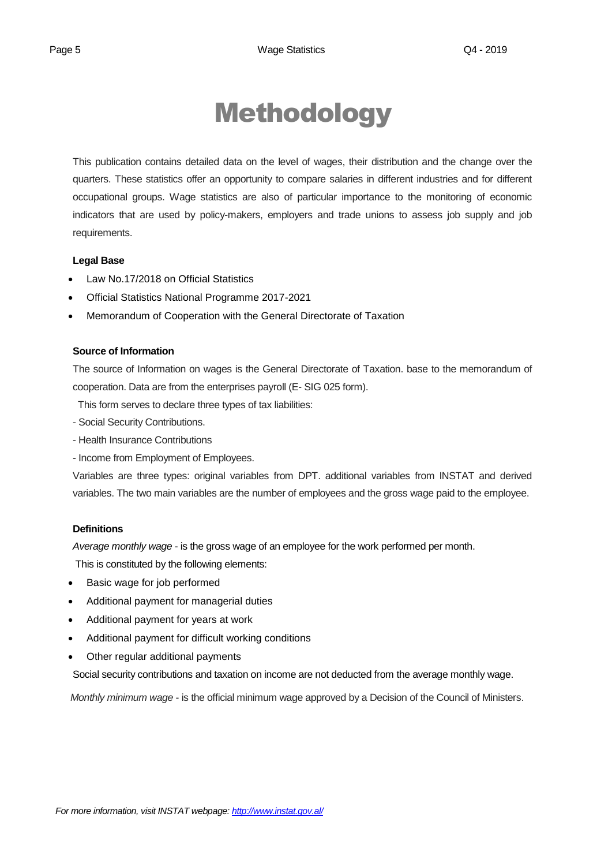# Methodology

This publication contains detailed data on the level of wages, their distribution and the change over the quarters. These statistics offer an opportunity to compare salaries in different industries and for different occupational groups. Wage statistics are also of particular importance to the monitoring of economic indicators that are used by policy-makers, employers and trade unions to assess job supply and job requirements.

#### **Legal Base**

- [Law No.17/2018 on Official Statistics](http://instat.gov.al/media/3972/law-no17-2018-on-official-statistics.pdf)
- Official Statistics National Programme 2017-2021
- Memorandum of Cooperation with the General Directorate of Taxation

#### **Source of Information**

The source of Information on wages is the General Directorate of Taxation. base to the memorandum of cooperation. Data are from the enterprises payroll (E- SIG 025 form).

This form serves to declare three types of tax liabilities:

- Social Security Contributions.
- Health Insurance Contributions
- Income from Employment of Employees.

Variables are three types: original variables from DPT. additional variables from INSTAT and derived variables. The two main variables are the number of employees and the gross wage paid to the employee.

#### **Definitions**

*Average monthly wage* - is the gross wage of an employee for the work performed per month.

This is constituted by the following elements:

- Basic wage for job performed
- Additional payment for managerial duties
- Additional payment for years at work
- Additional payment for difficult working conditions
- Other regular additional payments

Social security contributions and taxation on income are not deducted from the average monthly wage.

*Monthly minimum wage* - is the official minimum wage approved by a Decision of the Council of Ministers.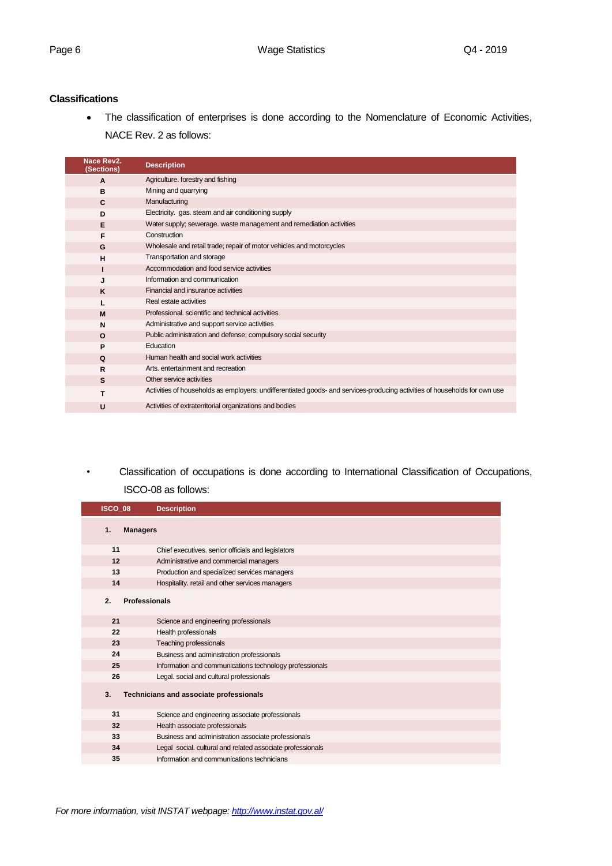#### **Classifications**

 The classification of enterprises is done according to the Nomenclature of Economic Activities, NACE Rev. 2 as follows:

| Nace Rev2.<br>(Sections) | <b>Description</b>                                                                                                         |
|--------------------------|----------------------------------------------------------------------------------------------------------------------------|
| A                        | Agriculture. forestry and fishing                                                                                          |
| B                        | Mining and quarrying                                                                                                       |
| C                        | Manufacturing                                                                                                              |
| D                        | Electricity. gas. steam and air conditioning supply                                                                        |
| E                        | Water supply; sewerage. waste management and remediation activities                                                        |
| F                        | Construction                                                                                                               |
| G                        | Wholesale and retail trade; repair of motor vehicles and motorcycles                                                       |
| н                        | Transportation and storage                                                                                                 |
|                          | Accommodation and food service activities                                                                                  |
| J.                       | Information and communication                                                                                              |
| K                        | Financial and insurance activities                                                                                         |
|                          | Real estate activities                                                                                                     |
| M                        | Professional, scientific and technical activities                                                                          |
| N                        | Administrative and support service activities                                                                              |
| $\Omega$                 | Public administration and defense; compulsory social security                                                              |
| P                        | Education                                                                                                                  |
| Q                        | Human health and social work activities                                                                                    |
| R                        | Arts, entertainment and recreation                                                                                         |
| S                        | Other service activities                                                                                                   |
| т                        | Activities of households as employers; undifferentiated goods- and services-producing activities of households for own use |
| U                        | Activities of extraterritorial organizations and bodies                                                                    |

### *•* Classification of occupations is done according to International Classification of Occupations,

#### ISCO-08 as follows:

| ISCO_08               | <b>Description</b>                                         |
|-----------------------|------------------------------------------------------------|
| 1.<br><b>Managers</b> |                                                            |
| 11                    | Chief executives. senior officials and legislators         |
| 12                    | Administrative and commercial managers                     |
| 13                    | Production and specialized services managers               |
| 14                    | Hospitality. retail and other services managers            |
| 2.                    | <b>Professionals</b>                                       |
| 21                    | Science and engineering professionals                      |
| 22                    | Health professionals                                       |
| 23                    | <b>Teaching professionals</b>                              |
| 24                    | Business and administration professionals                  |
| 25                    | Information and communications technology professionals    |
| 26                    | Legal. social and cultural professionals                   |
| 3.                    | Technicians and associate professionals                    |
| 31                    | Science and engineering associate professionals            |
| 32                    | Health associate professionals                             |
| 33                    | Business and administration associate professionals        |
| 34                    | Legal social. cultural and related associate professionals |
| 35                    | Information and communications technicians                 |